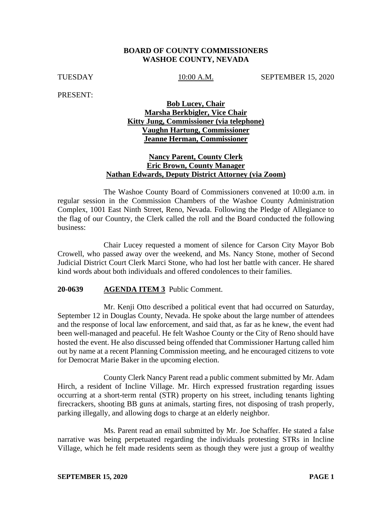## **BOARD OF COUNTY COMMISSIONERS WASHOE COUNTY, NEVADA**

TUESDAY 10:00 A.M. SEPTEMBER 15, 2020

PRESENT:

# **Bob Lucey, Chair Marsha Berkbigler, Vice Chair Kitty Jung, Commissioner (via telephone) Vaughn Hartung, Commissioner Jeanne Herman, Commissioner**

## **Nancy Parent, County Clerk Eric Brown, County Manager Nathan Edwards, Deputy District Attorney (via Zoom)**

The Washoe County Board of Commissioners convened at 10:00 a.m. in regular session in the Commission Chambers of the Washoe County Administration Complex, 1001 East Ninth Street, Reno, Nevada. Following the Pledge of Allegiance to the flag of our Country, the Clerk called the roll and the Board conducted the following business:

Chair Lucey requested a moment of silence for Carson City Mayor Bob Crowell, who passed away over the weekend, and Ms. Nancy Stone, mother of Second Judicial District Court Clerk Marci Stone, who had lost her battle with cancer. He shared kind words about both individuals and offered condolences to their families.

### **20-0639 AGENDA ITEM 3** Public Comment.

Mr. Kenji Otto described a political event that had occurred on Saturday, September 12 in Douglas County, Nevada. He spoke about the large number of attendees and the response of local law enforcement, and said that, as far as he knew, the event had been well-managed and peaceful. He felt Washoe County or the City of Reno should have hosted the event. He also discussed being offended that Commissioner Hartung called him out by name at a recent Planning Commission meeting, and he encouraged citizens to vote for Democrat Marie Baker in the upcoming election.

County Clerk Nancy Parent read a public comment submitted by Mr. Adam Hirch, a resident of Incline Village. Mr. Hirch expressed frustration regarding issues occurring at a short-term rental (STR) property on his street, including tenants lighting firecrackers, shooting BB guns at animals, starting fires, not disposing of trash properly, parking illegally, and allowing dogs to charge at an elderly neighbor.

Ms. Parent read an email submitted by Mr. Joe Schaffer. He stated a false narrative was being perpetuated regarding the individuals protesting STRs in Incline Village, which he felt made residents seem as though they were just a group of wealthy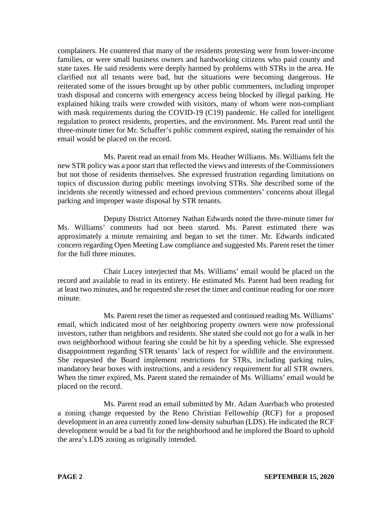complainers. He countered that many of the residents protesting were from lower-income families, or were small business owners and hardworking citizens who paid county and state taxes. He said residents were deeply harmed by problems with STRs in the area. He clarified not all tenants were bad, but the situations were becoming dangerous. He reiterated some of the issues brought up by other public commenters, including improper trash disposal and concerns with emergency access being blocked by illegal parking. He explained hiking trails were crowded with visitors, many of whom were non-compliant with mask requirements during the COVID-19 (C19) pandemic. He called for intelligent regulation to protect residents, properties, and the environment. Ms. Parent read until the three-minute timer for Mr. Schaffer's public comment expired, stating the remainder of his email would be placed on the record.

Ms. Parent read an email from Ms. Heather Williams. Ms. Williams felt the new STR policy was a poorstart that reflected the views and interests of the Commissioners but not those of residents themselves. She expressed frustration regarding limitations on topics of discussion during public meetings involving STRs. She described some of the incidents she recently witnessed and echoed previous commenters' concerns about illegal parking and improper waste disposal by STR tenants.

Deputy District Attorney Nathan Edwards noted the three-minute timer for Ms. Williams' comments had not been started. Ms. Parent estimated there was approximately a minute remaining and began to set the timer. Mr. Edwards indicated concern regarding Open Meeting Law compliance and suggested Ms. Parent reset the timer for the full three minutes.

Chair Lucey interjected that Ms. Williams' email would be placed on the record and available to read in its entirety. He estimated Ms. Parent had been reading for at least two minutes, and he requested she reset the timer and continue reading for one more minute.

Ms. Parent reset the timer as requested and continued reading Ms. Williams' email, which indicated most of her neighboring property owners were now professional investors, rather than neighbors and residents. She stated she could not go for a walk in her own neighborhood without fearing she could be hit by a speeding vehicle. She expressed disappointment regarding STR tenants' lack of respect for wildlife and the environment. She requested the Board implement restrictions for STRs, including parking rules, mandatory bear boxes with instructions, and a residency requirement for all STR owners. When the timer expired, Ms. Parent stated the remainder of Ms. Williams' email would be placed on the record.

Ms. Parent read an email submitted by Mr. Adam Auerbach who protested a zoning change requested by the Reno Christian Fellowship (RCF) for a proposed development in an area currently zoned low-density suburban (LDS). He indicated the RCF development would be a bad fit for the neighborhood and he implored the Board to uphold the area's LDS zoning as originally intended.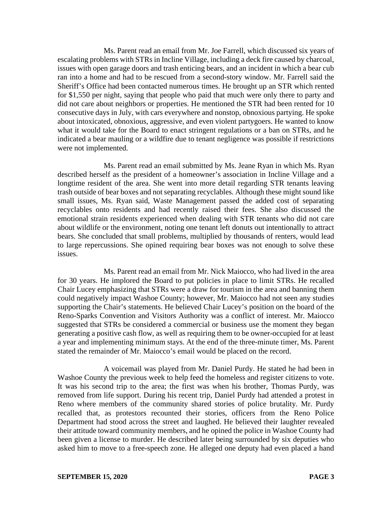Ms. Parent read an email from Mr. Joe Farrell, which discussed six years of escalating problems with STRs in Incline Village, including a deck fire caused by charcoal, issues with open garage doors and trash enticing bears, and an incident in which a bear cub ran into a home and had to be rescued from a second-story window. Mr. Farrell said the Sheriff's Office had been contacted numerous times. He brought up an STR which rented for \$1,550 per night, saying that people who paid that much were only there to party and did not care about neighbors or properties. He mentioned the STR had been rented for 10 consecutive days in July, with cars everywhere and nonstop, obnoxious partying. He spoke about intoxicated, obnoxious, aggressive, and even violent partygoers. He wanted to know what it would take for the Board to enact stringent regulations or a ban on STRs, and he indicated a bear mauling or a wildfire due to tenant negligence was possible if restrictions were not implemented.

Ms. Parent read an email submitted by Ms. Jeane Ryan in which Ms. Ryan described herself as the president of a homeowner's association in Incline Village and a longtime resident of the area. She went into more detail regarding STR tenants leaving trash outside of bear boxes and not separating recyclables. Although these might sound like small issues, Ms. Ryan said, Waste Management passed the added cost of separating recyclables onto residents and had recently raised their fees. She also discussed the emotional strain residents experienced when dealing with STR tenants who did not care about wildlife or the environment, noting one tenant left donuts out intentionally to attract bears. She concluded that small problems, multiplied by thousands of renters, would lead to large repercussions. She opined requiring bear boxes was not enough to solve these issues.

Ms. Parent read an email from Mr. Nick Maiocco, who had lived in the area for 30 years. He implored the Board to put policies in place to limit STRs. He recalled Chair Lucey emphasizing that STRs were a draw for tourism in the area and banning them could negatively impact Washoe County; however, Mr. Maiocco had not seen any studies supporting the Chair's statements. He believed Chair Lucey's position on the board of the Reno-Sparks Convention and Visitors Authority was a conflict of interest. Mr. Maiocco suggested that STRs be considered a commercial or business use the moment they began generating a positive cash flow, as well as requiring them to be owner-occupied for at least a year and implementing minimum stays. At the end of the three-minute timer, Ms. Parent stated the remainder of Mr. Maiocco's email would be placed on the record.

A voicemail was played from Mr. Daniel Purdy. He stated he had been in Washoe County the previous week to help feed the homeless and register citizens to vote. It was his second trip to the area; the first was when his brother, Thomas Purdy, was removed from life support. During his recent trip, Daniel Purdy had attended a protest in Reno where members of the community shared stories of police brutality. Mr. Purdy recalled that, as protestors recounted their stories, officers from the Reno Police Department had stood across the street and laughed. He believed their laughter revealed their attitude toward community members, and he opined the police in Washoe County had been given a license to murder. He described later being surrounded by six deputies who asked him to move to a free-speech zone. He alleged one deputy had even placed a hand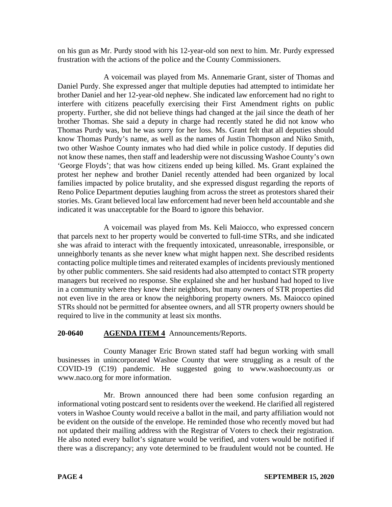on his gun as Mr. Purdy stood with his 12-year-old son next to him. Mr. Purdy expressed frustration with the actions of the police and the County Commissioners.

A voicemail was played from Ms. Annemarie Grant, sister of Thomas and Daniel Purdy. She expressed anger that multiple deputies had attempted to intimidate her brother Daniel and her 12-year-old nephew. She indicated law enforcement had no right to interfere with citizens peacefully exercising their First Amendment rights on public property. Further, she did not believe things had changed at the jail since the death of her brother Thomas. She said a deputy in charge had recently stated he did not know who Thomas Purdy was, but he was sorry for her loss. Ms. Grant felt that all deputies should know Thomas Purdy's name, as well as the names of Justin Thompson and Niko Smith, two other Washoe County inmates who had died while in police custody. If deputies did not know these names, then staff and leadership were not discussing Washoe County's own 'George Floyds'; that was how citizens ended up being killed. Ms. Grant explained the protest her nephew and brother Daniel recently attended had been organized by local families impacted by police brutality, and she expressed disgust regarding the reports of Reno Police Department deputies laughing from across the street as protestors shared their stories. Ms. Grant believed local law enforcement had never been held accountable and she indicated it was unacceptable for the Board to ignore this behavior.

A voicemail was played from Ms. Keli Maiocco, who expressed concern that parcels next to her property would be converted to full-time STRs, and she indicated she was afraid to interact with the frequently intoxicated, unreasonable, irresponsible, or unneighborly tenants as she never knew what might happen next. She described residents contacting police multiple times and reiterated examples of incidents previously mentioned by other public commenters. She said residents had also attempted to contact STR property managers but received no response. She explained she and her husband had hoped to live in a community where they knew their neighbors, but many owners of STR properties did not even live in the area or know the neighboring property owners. Ms. Maiocco opined STRs should not be permitted for absentee owners, and all STR property owners should be required to live in the community at least six months.

# **20-0640 AGENDA ITEM 4** Announcements/Reports.

County Manager Eric Brown stated staff had begun working with small businesses in unincorporated Washoe County that were struggling as a result of the COVID-19 (C19) pandemic. He suggested going to www.washoecounty.us or www.naco.org for more information.

Mr. Brown announced there had been some confusion regarding an informational voting postcard sent to residents over the weekend. He clarified all registered voters in Washoe County would receive a ballot in the mail, and party affiliation would not be evident on the outside of the envelope. He reminded those who recently moved but had not updated their mailing address with the Registrar of Voters to check their registration. He also noted every ballot's signature would be verified, and voters would be notified if there was a discrepancy; any vote determined to be fraudulent would not be counted. He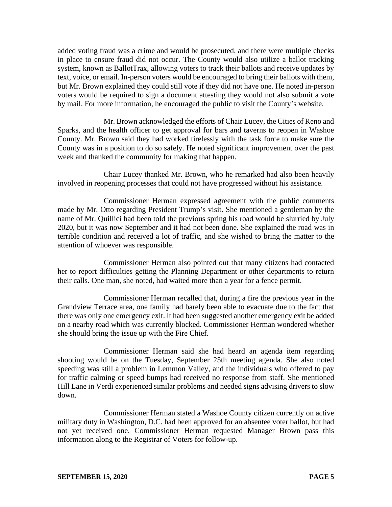added voting fraud was a crime and would be prosecuted, and there were multiple checks in place to ensure fraud did not occur. The County would also utilize a ballot tracking system, known as BallotTrax, allowing voters to track their ballots and receive updates by text, voice, or email. In-person voters would be encouraged to bring their ballots with them, but Mr. Brown explained they could still vote if they did not have one. He noted in-person voters would be required to sign a document attesting they would not also submit a vote by mail. For more information, he encouraged the public to visit the County's website.

Mr. Brown acknowledged the efforts of Chair Lucey, the Cities of Reno and Sparks, and the health officer to get approval for bars and taverns to reopen in Washoe County. Mr. Brown said they had worked tirelessly with the task force to make sure the County was in a position to do so safely. He noted significant improvement over the past week and thanked the community for making that happen.

Chair Lucey thanked Mr. Brown, who he remarked had also been heavily involved in reopening processes that could not have progressed without his assistance.

Commissioner Herman expressed agreement with the public comments made by Mr. Otto regarding President Trump's visit. She mentioned a gentleman by the name of Mr. Quillici had been told the previous spring his road would be slurried by July 2020, but it was now September and it had not been done. She explained the road was in terrible condition and received a lot of traffic, and she wished to bring the matter to the attention of whoever was responsible.

Commissioner Herman also pointed out that many citizens had contacted her to report difficulties getting the Planning Department or other departments to return their calls. One man, she noted, had waited more than a year for a fence permit.

Commissioner Herman recalled that, during a fire the previous year in the Grandview Terrace area, one family had barely been able to evacuate due to the fact that there was only one emergency exit. It had been suggested another emergency exit be added on a nearby road which was currently blocked. Commissioner Herman wondered whether she should bring the issue up with the Fire Chief.

Commissioner Herman said she had heard an agenda item regarding shooting would be on the Tuesday, September 25th meeting agenda. She also noted speeding was still a problem in Lemmon Valley, and the individuals who offered to pay for traffic calming or speed bumps had received no response from staff. She mentioned Hill Lane in Verdi experienced similar problems and needed signs advising drivers to slow down.

Commissioner Herman stated a Washoe County citizen currently on active military duty in Washington, D.C. had been approved for an absentee voter ballot, but had not yet received one. Commissioner Herman requested Manager Brown pass this information along to the Registrar of Voters for follow-up.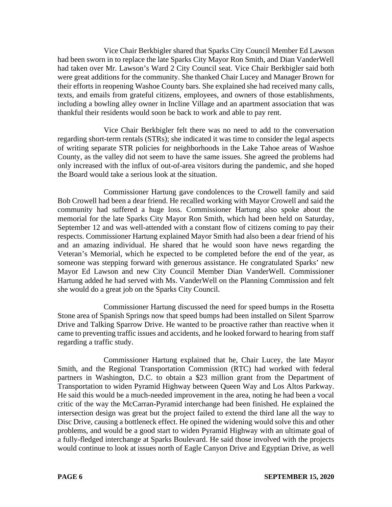Vice Chair Berkbigler shared that Sparks City Council Member Ed Lawson had been sworn in to replace the late Sparks City Mayor Ron Smith, and Dian VanderWell had taken over Mr. Lawson's Ward 2 City Council seat. Vice Chair Berkbigler said both were great additions for the community. She thanked Chair Lucey and Manager Brown for their efforts in reopening Washoe County bars. She explained she had received many calls, texts, and emails from grateful citizens, employees, and owners of those establishments, including a bowling alley owner in Incline Village and an apartment association that was thankful their residents would soon be back to work and able to pay rent.

Vice Chair Berkbigler felt there was no need to add to the conversation regarding short-term rentals (STRs); she indicated it was time to consider the legal aspects of writing separate STR policies for neighborhoods in the Lake Tahoe areas of Washoe County, as the valley did not seem to have the same issues. She agreed the problems had only increased with the influx of out-of-area visitors during the pandemic, and she hoped the Board would take a serious look at the situation.

Commissioner Hartung gave condolences to the Crowell family and said Bob Crowell had been a dear friend. He recalled working with Mayor Crowell and said the community had suffered a huge loss. Commissioner Hartung also spoke about the memorial for the late Sparks City Mayor Ron Smith, which had been held on Saturday, September 12 and was well-attended with a constant flow of citizens coming to pay their respects. Commissioner Hartung explained Mayor Smith had also been a dear friend of his and an amazing individual. He shared that he would soon have news regarding the Veteran's Memorial, which he expected to be completed before the end of the year, as someone was stepping forward with generous assistance. He congratulated Sparks' new Mayor Ed Lawson and new City Council Member Dian VanderWell. Commissioner Hartung added he had served with Ms. VanderWell on the Planning Commission and felt she would do a great job on the Sparks City Council.

Commissioner Hartung discussed the need for speed bumps in the Rosetta Stone area of Spanish Springs now that speed bumps had been installed on Silent Sparrow Drive and Talking Sparrow Drive. He wanted to be proactive rather than reactive when it came to preventing traffic issues and accidents, and he looked forward to hearing from staff regarding a traffic study.

Commissioner Hartung explained that he, Chair Lucey, the late Mayor Smith, and the Regional Transportation Commission (RTC) had worked with federal partners in Washington, D.C. to obtain a \$23 million grant from the Department of Transportation to widen Pyramid Highway between Queen Way and Los Altos Parkway. He said this would be a much-needed improvement in the area, noting he had been a vocal critic of the way the McCarran-Pyramid interchange had been finished. He explained the intersection design was great but the project failed to extend the third lane all the way to Disc Drive, causing a bottleneck effect. He opined the widening would solve this and other problems, and would be a good start to widen Pyramid Highway with an ultimate goal of a fully-fledged interchange at Sparks Boulevard. He said those involved with the projects would continue to look at issues north of Eagle Canyon Drive and Egyptian Drive, as well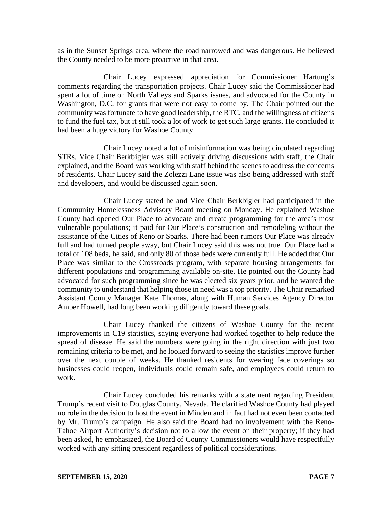as in the Sunset Springs area, where the road narrowed and was dangerous. He believed the County needed to be more proactive in that area.

Chair Lucey expressed appreciation for Commissioner Hartung's comments regarding the transportation projects. Chair Lucey said the Commissioner had spent a lot of time on North Valleys and Sparks issues, and advocated for the County in Washington, D.C. for grants that were not easy to come by. The Chair pointed out the community was fortunate to have good leadership, the RTC, and the willingness of citizens to fund the fuel tax, but it still took a lot of work to get such large grants. He concluded it had been a huge victory for Washoe County.

Chair Lucey noted a lot of misinformation was being circulated regarding STRs. Vice Chair Berkbigler was still actively driving discussions with staff, the Chair explained, and the Board was working with staff behind the scenes to address the concerns of residents. Chair Lucey said the Zolezzi Lane issue was also being addressed with staff and developers, and would be discussed again soon.

Chair Lucey stated he and Vice Chair Berkbigler had participated in the Community Homelessness Advisory Board meeting on Monday. He explained Washoe County had opened Our Place to advocate and create programming for the area's most vulnerable populations; it paid for Our Place's construction and remodeling without the assistance of the Cities of Reno or Sparks. There had been rumors Our Place was already full and had turned people away, but Chair Lucey said this was not true. Our Place had a total of 108 beds, he said, and only 80 of those beds were currently full. He added that Our Place was similar to the Crossroads program, with separate housing arrangements for different populations and programming available on-site. He pointed out the County had advocated for such programming since he was elected six years prior, and he wanted the community to understand that helping those in need was a top priority. The Chair remarked Assistant County Manager Kate Thomas, along with Human Services Agency Director Amber Howell, had long been working diligently toward these goals.

Chair Lucey thanked the citizens of Washoe County for the recent improvements in C19 statistics, saying everyone had worked together to help reduce the spread of disease. He said the numbers were going in the right direction with just two remaining criteria to be met, and he looked forward to seeing the statistics improve further over the next couple of weeks. He thanked residents for wearing face coverings so businesses could reopen, individuals could remain safe, and employees could return to work.

Chair Lucey concluded his remarks with a statement regarding President Trump's recent visit to Douglas County, Nevada. He clarified Washoe County had played no role in the decision to host the event in Minden and in fact had not even been contacted by Mr. Trump's campaign. He also said the Board had no involvement with the Reno-Tahoe Airport Authority's decision not to allow the event on their property; if they had been asked, he emphasized, the Board of County Commissioners would have respectfully worked with any sitting president regardless of political considerations.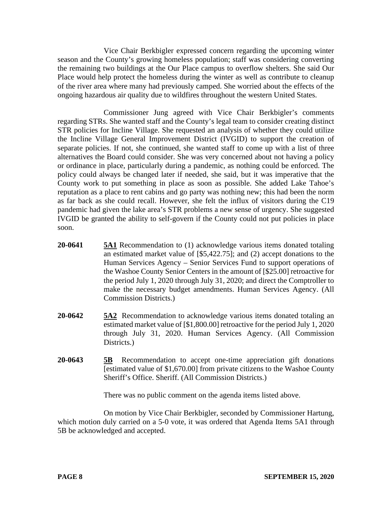Vice Chair Berkbigler expressed concern regarding the upcoming winter season and the County's growing homeless population; staff was considering converting the remaining two buildings at the Our Place campus to overflow shelters. She said Our Place would help protect the homeless during the winter as well as contribute to cleanup of the river area where many had previously camped. She worried about the effects of the ongoing hazardous air quality due to wildfires throughout the western United States.

Commissioner Jung agreed with Vice Chair Berkbigler's comments regarding STRs. She wanted staff and the County's legal team to consider creating distinct STR policies for Incline Village. She requested an analysis of whether they could utilize the Incline Village General Improvement District (IVGID) to support the creation of separate policies. If not, she continued, she wanted staff to come up with a list of three alternatives the Board could consider. She was very concerned about not having a policy or ordinance in place, particularly during a pandemic, as nothing could be enforced. The policy could always be changed later if needed, she said, but it was imperative that the County work to put something in place as soon as possible. She added Lake Tahoe's reputation as a place to rent cabins and go party was nothing new; this had been the norm as far back as she could recall. However, she felt the influx of visitors during the C19 pandemic had given the lake area's STR problems a new sense of urgency. She suggested IVGID be granted the ability to self-govern if the County could not put policies in place soon.

- **20-0641 5A1** Recommendation to (1) acknowledge various items donated totaling an estimated market value of [\$5,422.75]; and (2) accept donations to the Human Services Agency – Senior Services Fund to support operations of the Washoe County Senior Centers in the amount of [\$25.00] retroactive for the period July 1, 2020 through July 31, 2020; and direct the Comptroller to make the necessary budget amendments. Human Services Agency. (All Commission Districts.)
- **20-0642 5A2** Recommendation to acknowledge various items donated totaling an estimated market value of [\$1,800.00] retroactive for the period July 1, 2020 through July 31, 2020. Human Services Agency. (All Commission Districts.
- **20-0643 5B** Recommendation to accept one-time appreciation gift donations [estimated value of \$1,670.00] from private citizens to the Washoe County Sheriff's Office. Sheriff. (All Commission Districts.)

There was no public comment on the agenda items listed above.

On motion by Vice Chair Berkbigler, seconded by Commissioner Hartung, which motion duly carried on a 5-0 vote, it was ordered that Agenda Items 5A1 through 5B be acknowledged and accepted.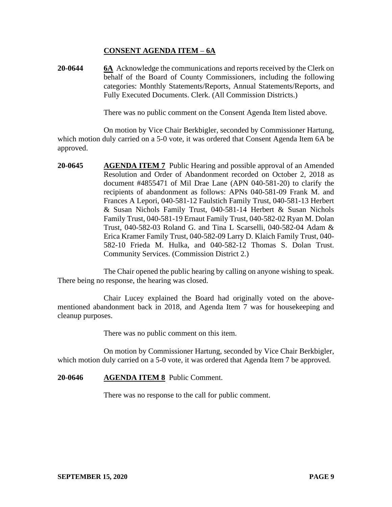## **CONSENT AGENDA ITEM** – **6A**

**20-0644 6A** Acknowledge the communications and reports received by the Clerk on behalf of the Board of County Commissioners, including the following categories: Monthly Statements/Reports, Annual Statements/Reports, and Fully Executed Documents. Clerk. (All Commission Districts.)

There was no public comment on the Consent Agenda Item listed above.

On motion by Vice Chair Berkbigler, seconded by Commissioner Hartung, which motion duly carried on a 5-0 vote, it was ordered that Consent Agenda Item 6A be approved.

**20-0645 AGENDA ITEM 7** Public Hearing and possible approval of an Amended Resolution and Order of Abandonment recorded on October 2, 2018 as document #4855471 of Mil Drae Lane (APN 040-581-20) to clarify the recipients of abandonment as follows: APNs 040-581-09 Frank M. and Frances A Lepori, 040-581-12 Faulstich Family Trust, 040-581-13 Herbert & Susan Nichols Family Trust, 040-581-14 Herbert & Susan Nichols Family Trust, 040-581-19 Ernaut Family Trust, 040-582-02 Ryan M. Dolan Trust, 040-582-03 Roland G. and Tina L Scarselli, 040-582-04 Adam & Erica Kramer Family Trust, 040-582-09 Larry D. Klaich Family Trust, 040- 582-10 Frieda M. Hulka, and 040-582-12 Thomas S. Dolan Trust. Community Services. (Commission District 2.)

The Chair opened the public hearing by calling on anyone wishing to speak. There being no response, the hearing was closed.

Chair Lucey explained the Board had originally voted on the abovementioned abandonment back in 2018, and Agenda Item 7 was for housekeeping and cleanup purposes.

There was no public comment on this item.

On motion by Commissioner Hartung, seconded by Vice Chair Berkbigler, which motion duly carried on a 5-0 vote, it was ordered that Agenda Item 7 be approved.

### **20-0646 AGENDA ITEM 8** Public Comment.

There was no response to the call for public comment.